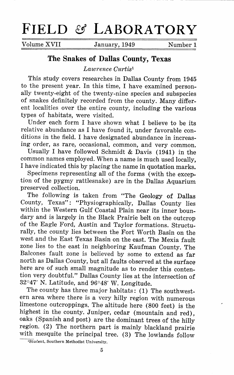# **FIELD** *8.5* **LABORATORY**

Volume XVII January, 1949 Number 1

# **The Snakes of Dallas County, Texas**

*Lawrence Curtis <sup>1</sup>*

This study covers researches in Dallas County from 1945 to the present year. In this time, I have examined personally twenty-eight of the twenty-nine species and subspecies of snakes definitely recorded from the county. Many different localities over the entire county, including the various types of habitats, were visited.

Under each form I have shown what I believe to be its relative abundance as I have found it, under favorable conditions in the field. I have designated abundance in increasing order, as rare, occasional, common, and very common.

Usually I have followed Schmidt & Davis (1941) in the common names employed. When a name is much used locally, I have indicated this by placing the name in quotation marks.

Specimens representing all of the forms (with the exception of the pygmy rattlesnake) are in the Dallas Aquarium preserved collection.

The following is taken from "The Geology of Dallas County, Texas": "Physiographically, Dallas County lies within the Western Gulf Coastal Plain near its inner boundary and is largely in the Black Prairie belt on the outcrop of the Eagle Ford, Austin and Taylor formations. Structurally, the county lies between the Fort Worth Basin on the west and the East Texas Basin on the east. The Mexia fault zone lies to the east in neighboring Kaufman County. The Balcones fault zone is believed by some to extend as far north as Dallas County, but all faults observed at the surface here are of such small magnitude as to render this contention very doubtful." Dallas County lies at the intersection of 32°47' N. Latitude, and 96°48' W. Longitude.

The county has three major habitats: (1) The southwestern area where there is a very hilly region with numerous limestone outcroppings. The altitude here (800 feet) is the highest in the county. Juniper, cedar (mountain and red), oaks (Spanish and post) are the dominant trees of the hilly region. (2) The northern part is mainly blackland prairie with mesquite the principal tree. (3) The lowlands follow

<sup>&</sup>lt;sup>1</sup>Student, Southern Methodist University.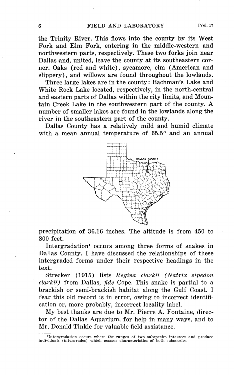the Trinity River. This flows into the county by its West Fork and Elm Fork, entering in the middle-western and northwestern parts, respectively. These two forks join near Dallas and, united, leave the county at its southeastern corner. Oaks (red and white), sycamore, elm (American and slippery), and willows are found throughout the lowlands.

Three large lakes are in the county: Bachman's Lake and White Rock Lake located, respectively, in the north-central and eastern parts of Dallas within the city limits, and Mountain Creek Lake in the southwestern part of the county. A number of smaller lakes are found in the lowlands along the river in the southeastern part of the county.

Dallas County has a relatively mild and humid climate with a mean annual temperature of 65.5° and an annual



precipitation of 36.16 inches. The altitude is from 450 to 800 feet.

Intergradation<sup>1</sup> occurs among three forms of snakes in Dallas County. I have discussed the relationships of these intergraded forms under their respective headings in the text.

Strecker (1915) lists *Regina clarkii (Natrix sipedon clarkii)* from Dallas, *fide* Cope. This snake is partial to a brackish or semi-brackish habitat along the Gulf Coast. I fear this old record is in error, owing to incorrect identification or, more probably, incorrect locality label.

My best thanks are due to Mr. Pierre A. Fontaine, director of the Dallas Aquarium, for help in many ways, and to Mr. Donald Tinkle for valuable field assistance.

<sup>&</sup>lt;sup>1</sup>Intergradation occurs where the ranges of two subspecies intersect and produce individuals (intergrades) which possess characteristics of both subspecies.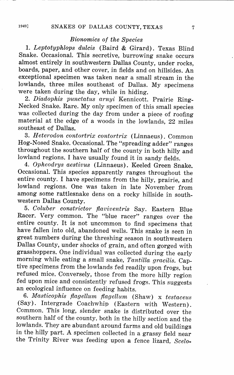### *Bionomics of the Species*

1. *Leptotyphlops dulcis* (Baird & Girard). Texas Blind Snake. Occasional. This secretive, burrowing snake occurs almost entirely in southwestern Dallas County, under rocks, boards, paper, and other cover, in fields and on hillsides. An exceptional specimen was taken near a small stream in the lowlands, three miles southeast of Dallas. My specimens were taken during the day, while in hiding.

2. *Diadophis punctatus arnyi* Kennicott. Prairie Ring-Necked Snake. Rare. My only specimen of this small species was collected during the day from under a piece of roofing material at the edge of a woods in the lowlands, 22 miles southeast of Dallas.

3. *Heterodon contortrix contortrix* (Linnaeus). Common Hog-Nosed Snake. Occasional. The "spreading adder" ranges throughout the southern half of the county in both hilly and lowland regions. I have usually found it in sandy fields.

4. *Opheodrys aestivus* (Linnaeus). Keeled Green Snake. Occasional. This species apparently ranges throughout the entire county. I have specimens from the hilly, prairie, and lowland regions. One was taken in late November from among some rattlesnake dens on a rocky hillside in southwestern Dallas County.

5. *Coluber constrictor flaviventris* Say. Eastern Blue Racer. Very common. The "blue racer" ranges over the entire county. It is not uncommon to find specimens that have fallen into old, abandoned wells. This snake is seen in great numbers during the threshing season in southwestern Dallas County, under shocks of grain, and often gorged with grasshoppers. One individual was collected during the early morning while eating a small snake, *Tantilla gracilis.* Captive specimens from the lowlands fed readily upon frogs, but refused mice. Conversely, those from the more hilly region fed upon mice and consistently refused frogs. This suggests an ecological influence on feeding habits.

6. *Masticophis flagellum flagellum* (Shaw) x *testaceus*  (Say). Intergrade Coachwhip (Eastern with Western). Common. This long, slender snake is distributed over the southern half of the county, both in the hilly section and the lowlands. They are abundant around farms and old buildings in the hilly part. A specimen collected in a grassy field near the Trinity River was feeding upon a fence lizard, *Scelo-*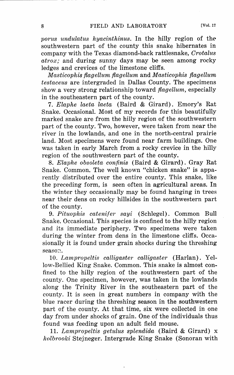*porics undulatus hyacinthinus.* In the hilly region of the southwestern part of the county this snake hibernates in company with the Texas diamond-back rattlesnake, *Crotalus atrox;* and during sunny days may be seen among rocky ledges and crevices of the limestone cliffs.

*Masticophis flagellum flagellum* and *Masticophis flagellum testaceus* are intergraded in Dallas County. The specimens show a very strong relationship toward *flagellum,* especially in the southeastern part of the county.

7. *Elaphe laeta laeta* (Baird & Girard). Emory's Rat Snake. Occasional. Most of my records for this beautifully marked snake are from the hilly region of the southwestern part of the county. Two, however, were taken from near the river in the lowlands, and one in the north-central prairie land. Most specimens were found near farm buildings. One was taken in early March from a rocky crevice in the hilly region of the southwestern part of the county.

8. *Elaphe obsoleta confinis* (Baird & Girard). Gray Rat Snake. Common. The well known "chicken snake" is apparently distributed over the entire county. This snake, like the preceding form, is seen often in agricultural areas. In the winter they occasionally may be found hanging in trees near their dens on rocky hillsides in the southwestern part of the county.

9. *Pituophis catenifer sayi* (Schlegel). Common Bull Snake. Occasional. This species is confined to the hilly region and its immediate periphery. Two specimens were taken during the winter from dens in the limestone cliffs. Occasionally it is found under grain shocks during the threshing season.

10. *Lampropeltis calligaster calligaster* (Harlan). Yellow-Bellied King Snake. Common. This snake is almost confined to the hilly region of the southwestern part of the county. One specimen, however, was taken in the lowlands along the Trinity River in the southeastern part of the county. It is seen in great numbers in company with the blue racer during the threshing season in the southwestern part of the county. At that time, six were collected in one day from under shocks of grain. One of the individuals thus found was feeding upon an adult field mouse.

11. *Lampropeltis getulus splendida* (Baird & Girard) x *holbrooki* Stejneger. Intergrade King Snake (Sonoran with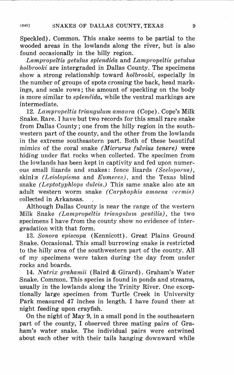Speckled). Common. This snake seems to be partial to the wooded areas in the lowlands along the river, but is also found occasionally in the hilly region.

*Lampropeltis getulus splendida* and *Lampropeltis getulus holbrooki* are intergraded in Dallas County. The specimens show a strong relationship toward *holbrooki,* especially in the number of groups of spots crossing the back, head markings, and scale rows; the amount of speckling on the body is more similar to *splendida,* while the ventral markings are intermediate.

12. *Lampropeltis triangulum amaura* (Cope). Cope's Milk Snake. Rare. I have but two records for this small rare snake from Dallas County; one from the hilly region in the southwestern part of the county, and the other from the lowlands in the extreme southeastern part. Both of these beautiful mimics of the coral snake *(Micrurus fulvius tenere)* were hiding under flat rocks when collected. The specimen from the lowlands has been kept in captivity and fed upon numerous small lizards and snakes: fence lizards *(Sceloporus),*  skinl:s *(Leiolopisma* and *Eumeces),* and the Texas blind snake *(Leptotyphlops clulcis.)* This same snake also ate an adult western worm snake *(Carphophis amoena l'ermis)*  collected in Arkansas.

Although Dallas County is near the range of the western Milk Snake *(Lampropeltis triangulum gentilis),* the two specimens I have from the county show no evidence of intergradation with that form.

13. *Sonora episcopa* (Kennicott). Great Plains Ground Snake. Occasional. This small burrowing snake is restricted to the hilly area of the southwestern part of the county. All of my specimens were taken during the day from under rocks and boards.

14. *Natrix grahamii* (Baird & Girard). Graham's Water Snake. Common. This species is found in ponds and streams, usually in the lowlands along the Trinity River. One exceptionally large specimen from Turtle Creek in University Park measured 47 inches in length. I have found them at night feeding upon crayfish.

On the night of May 9, in a small pond in the southeastern part of the county, I observed three mating pairs of Graham's water snake. The individual pairs were entwined about each other with their tails hanging downward while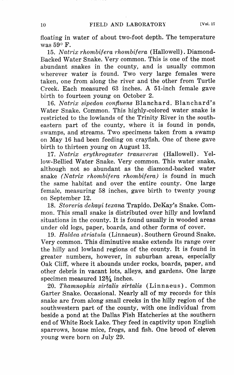floating in water of about two-foot depth. The temperature was  $59^\circ$  F.

15. *Natrix rhombifera rhombifera* (Hallowell). Diamond-Backed Water Snake. Very common. This is one of the most abundant snakes in the county, and is usually common wherever water is found. Two very large females were taken, one from along the river and the other from Turtle Creek. Each measured 63 inches. A 51-inch female gave birth to fourteen young on October 2.

16. *Natrix sipedon confiuens* Blanchard. Blanchard's Water Snake. Common. This highly-colored water snake is restricted to the lowlands of the Trinity River in the southeastern part of the county, where it is found in ponds, swamps, and streams. Two specimens taken from a swamp on May 16 had been feeding on crayfish. One of these gave birth to thirteen young on August 13.

17. *Natrix erythrogaster transversa* (Hallowell). Yellow-Bellied Water Snake. Very common. This water snake, although not so abundant as the diamond-backed water snake *(Natrix rhombifera rhombifera)* is found in much the same habitat and over the entire county. One large female, measuring 58 inches, gave birth to twenty young on September 12.

18. *Storeria dekayi texana* Trapido. DeKay's Snake. Common. This small snake is distributed over hilly and lowland situations in the county. It is found usually in wooded areas under old logs, paper, boards, and other forms of cover.

19. *Haldea striatula* (Linnaeus). Southern Ground Snake. Very common. This diminutive snake extends its range over the hilly and lowland regions of the county. It is found in greater numbers, however, in suburban areas, especially Oak Cliff, where it abounds under rocks, boards, paper, and other debris in vacant lots, alleys, and gardens. One large specimen measured  $12\frac{3}{4}$  inches.

20. *Thamnophis sirtalis sirtalis* (Linnaeus). Common Garter Snake. Occasional. Nearly all of my records for this snake are from along small creeks in the hilly region of the southwestern part of the county, with one individual from beside a pond at the Dallas Fish Hatcheries at the southern end of White Rock Lake. They feed in captivity upon English sparrows, house mice, frogs, and fish. One brood of eleven young were born on July 29.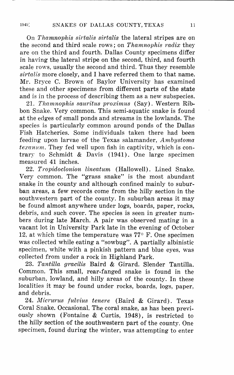On *Thamnophis sirtalis sirtalis* the lateral stripes are on the second and third scale rows; on *Thamnophis radix* they are on the third and fourth. Dallas County specimens differ in having the lateral stripe on the second, third, and fourth scale rows, usually the second and third. Thus they resemble *sirtalis* more closely, and I have referred them to that name. Mr. Bryce C. Brown of Baylor University has examined these and other specimens from different parts of the state and is in the process of describing them as a new subspecies.

21. *Thamnophis sauritus proximus* (Say). Western Ribbon Snake. Very common. This semi-aquatic snake is found at the edges of small ponds and streams in the lowlands. The species is particularly common around ponds of the Dallas Fish Hatcheries. Some individuals taken there had been feeding upon larvae of the Texas salamander, *Ambystoma*   $texanum.$  They fed well upon fish in captivity, which is contrary to Schmidt & Davis (1941). One large specimen measured 41 inches.

22. *Tropidoclonion lineatum* (Hallowell). Lined Snake. Very common. The "grass snake" is the most abundant snake in the county and although confined mainly to suburban areas, a few records come from the hilly section in the southwestern part of the county. In suburban areas it may be found almost anywhere under logs, boards, paper, rocks, debris, and such cover. The species is seen in greater numbers during late March. A pair was observed mating in a vacant lot in University Park late in the evening of October 12, at which time the temperature was  $77^{\circ}$  F. One specimen was collected while eating a "sowbug". A partially albinistic specimen, white with a pinkish pattern and blue eyes, was collected from under a rock in Highland Park.

23. *Tantilla gracilis* Baird & Girard. Slender Tantilla. Common. This small, rear-fanged snake is found in the suburban, lowland, and hilly areas of the county. In these localities it may be found under rocks, boards, logs, paper, and debris.

24. *Micrurus fulvius tenere* (Baird & Girard). Texas Coral Snake. Occasional. The coral snake, as has been previously shown (Fontaine & Curtis, 1948), is restricted to the hilly section of the southwestern part of the county. One specimen, found during the winter, was attempting to enter

1949]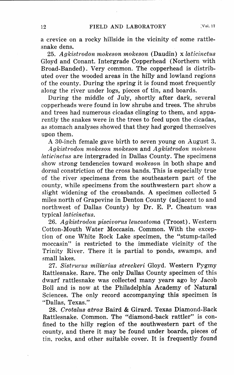a crevice on a rocky hillside in the vicinity of some rattlesnake dens.

25. *Agkistrodon mokeson mokeson* (Daudin) x *laticinctus*  Gloyd and Conant. Intergrade Copperhead (Northern with Broad-Banded). Very common. The copperhead is distributed over the wooded areas in the hilly and lowland regions of the county. During the spring it is found most frequently along the river under logs, pieces of tin, and boards.

During the middle of July, shortly after dark, several copperheads were found in low shrubs and trees. The shrubs and trees had numerous cicadas clinging to them, and apparently the snakes were in the trees to feed upon the cicadas, as stomach analyses showed that they had gorged themselves upon them.

A 30-inch female gave birth to seven young on August 3.

*"4gkistrodon mokeson mokeson* and *Agkistrodon mokeson laticinctus* are intergraded in Dallas County. The specimens show strong tendencies toward *mokeson* in both shape **and**  dorsal constriction of the cross bands. This is especially true of the river specimens from the southeastern part of the county, while specimens from the southwestern part show a slight widening of the crossbands. A specimen collected 5 miles north of Grapevine in Denton County (adjacent to and northwest of Dallas County) by Dr. E. P. Cheatum was typical *laticinctus.* 

26. *Agkistrodon piscivorus leucostoma* (Troost). Western Cotton-Mouth Water Moccasin. Common. With the exception of one White Rock Lake specimen, the "stump-tailed moccasin" is restricted to the immediate vicinity of the Trinity River. There it is partial to ponds, swamps, and small lakes.

27. *Sistrurus miliarius streckeri* Gloyd. Western Pygmy Rattlesnake. Rare. The only Dallas County specimen of this dwarf rattlesnake was collected many years ago by Jacob Boll and is now at the Philadelphia Academy of Natural Sciences. The only record accompanying this specimen is "Dallas, Texas."

28. *Crotalus atrox* Baird & Girard. Texas Diamond-Back Rattlesnake. Common. The "diamond-back rattler" is confined to the hilly region of the southwestern part of the county, and there it may be found under boards, pieces of tin. rocks, and other suitable cover. It is frequently found